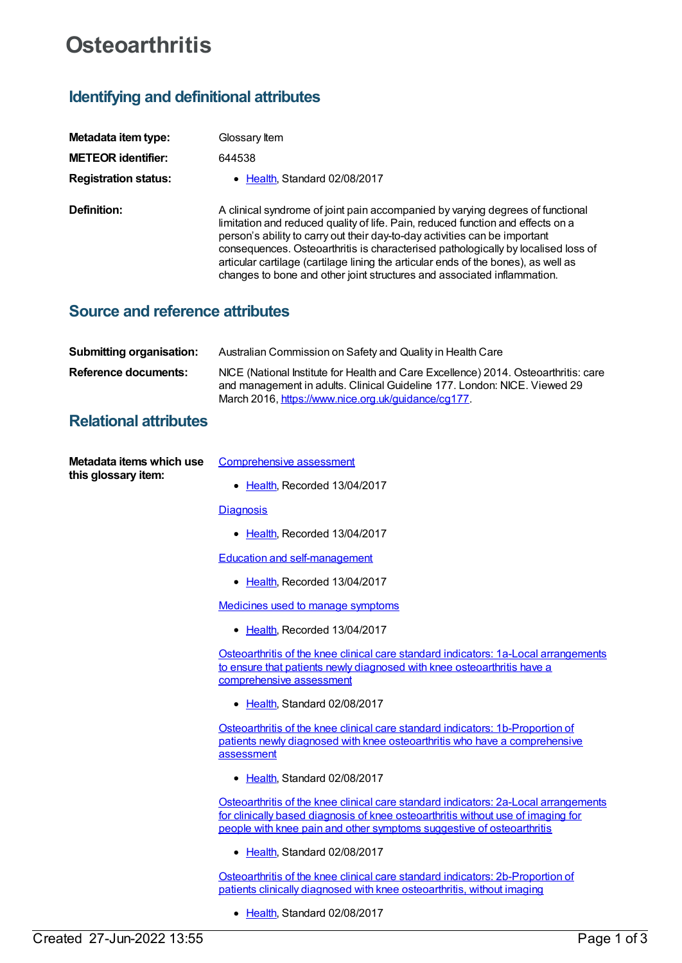# **Osteoarthritis**

# **Identifying and definitional attributes**

| Metadata item type:         | Glossary Item                                                                                                                                                                                                                                                                                                                                                                                                                                                                                         |
|-----------------------------|-------------------------------------------------------------------------------------------------------------------------------------------------------------------------------------------------------------------------------------------------------------------------------------------------------------------------------------------------------------------------------------------------------------------------------------------------------------------------------------------------------|
| <b>METEOR identifier:</b>   | 644538                                                                                                                                                                                                                                                                                                                                                                                                                                                                                                |
| <b>Registration status:</b> | • Health, Standard 02/08/2017                                                                                                                                                                                                                                                                                                                                                                                                                                                                         |
| Definition:                 | A clinical syndrome of joint pain accompanied by varying degrees of functional<br>limitation and reduced quality of life. Pain, reduced function and effects on a<br>person's ability to carry out their day-to-day activities can be important<br>consequences. Osteoarthritis is characterised pathologically by localised loss of<br>articular cartilage (cartilage lining the articular ends of the bones), as well as<br>changes to bone and other joint structures and associated inflammation. |

### **Source and reference attributes**

| <b>Submitting organisation:</b> | Australian Commission on Safety and Quality in Health Care                                                                                                                                                              |
|---------------------------------|-------------------------------------------------------------------------------------------------------------------------------------------------------------------------------------------------------------------------|
| Reference documents:            | NICE (National Institute for Health and Care Excellence) 2014. Osteoarthritis: care<br>and management in adults. Clinical Guideline 177. London: NICE. Viewed 29<br>March 2016, https://www.nice.org.uk/guidance/cg177. |

## **Relational attributes**

| Metadata items which use |  |
|--------------------------|--|
| this glossary item:      |  |

[Comprehensive](https://meteor.aihw.gov.au/content/644232) assessment

• [Health](https://meteor.aihw.gov.au/RegistrationAuthority/12), Recorded 13/04/2017

**[Diagnosis](https://meteor.aihw.gov.au/content/644234)** 

• [Health](https://meteor.aihw.gov.au/RegistrationAuthority/12), Recorded 13/04/2017

Education and [self-management](https://meteor.aihw.gov.au/content/644236)

• [Health](https://meteor.aihw.gov.au/RegistrationAuthority/12), Recorded 13/04/2017

[Medicines](https://meteor.aihw.gov.au/content/644240) used to manage symptoms

• [Health](https://meteor.aihw.gov.au/RegistrationAuthority/12), Recorded 13/04/2017

Osteoarthritis of the knee clinical care standard indicators: 1a-Local [arrangements](https://meteor.aihw.gov.au/content/644252) to ensure that patients newly diagnosed with knee osteoarthritis have a comprehensive assessment

• [Health](https://meteor.aihw.gov.au/RegistrationAuthority/12), Standard 02/08/2017

Osteoarthritis of the knee clinical care standard indicators: 1b-Proportion of patients newly diagnosed with knee osteoarthritis who have a [comprehensive](https://meteor.aihw.gov.au/content/644266) assessment

• [Health](https://meteor.aihw.gov.au/RegistrationAuthority/12), Standard 02/08/2017

Osteoarthritis of the knee clinical care standard indicators: 2a-Local [arrangements](https://meteor.aihw.gov.au/content/644277) for clinically based diagnosis of knee osteoarthritis without use of imaging for people with knee pain and other symptoms suggestive of osteoarthritis

• [Health](https://meteor.aihw.gov.au/RegistrationAuthority/12), Standard 02/08/2017

Osteoarthritis of the knee clinical care standard indicators: [2b-Proportion](https://meteor.aihw.gov.au/content/644279) of patients clinically diagnosed with knee osteoarthritis, without imaging

• [Health](https://meteor.aihw.gov.au/RegistrationAuthority/12), Standard 02/08/2017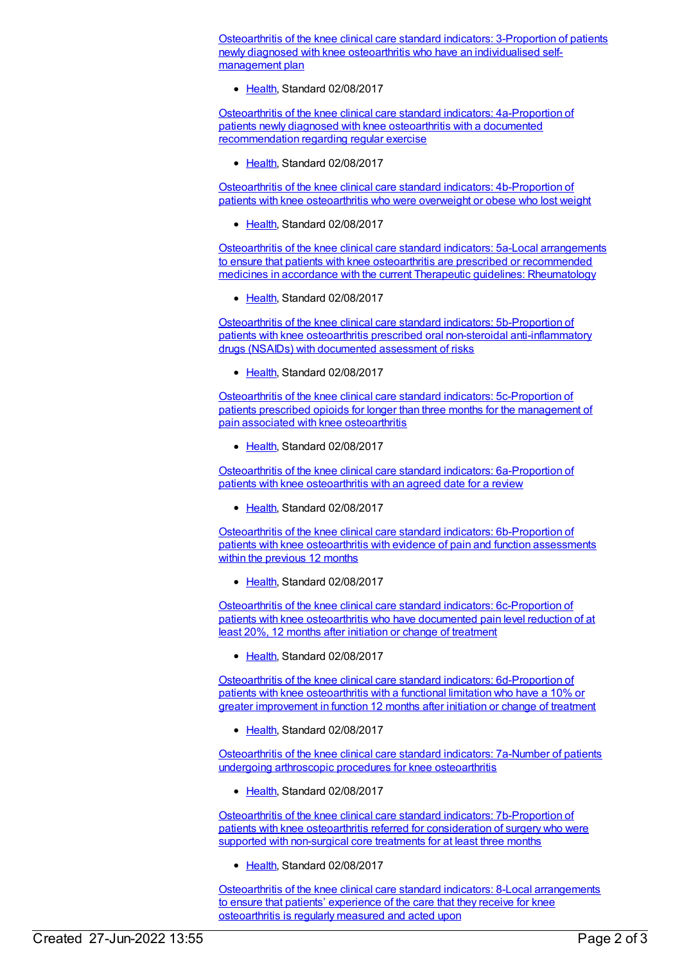Osteoarthritis of the knee clinical care standard indicators: 3-Proportion of patients newly diagnosed with knee osteoarthritis who have an [individualised](https://meteor.aihw.gov.au/content/644285) selfmanagement plan

[Health](https://meteor.aihw.gov.au/RegistrationAuthority/12), Standard 02/08/2017

Osteoarthritis of the knee clinical care standard indicators: 4a-Proportion of patients newly diagnosed with knee osteoarthritis with a documented [recommendation](https://meteor.aihw.gov.au/content/644289) regarding regular exercise

[Health](https://meteor.aihw.gov.au/RegistrationAuthority/12), Standard 02/08/2017

Osteoarthritis of the knee clinical care standard indicators: [4b-Proportion](https://meteor.aihw.gov.au/content/644293) of patients with knee osteoarthritis who were overweight or obese who lost weight

[Health](https://meteor.aihw.gov.au/RegistrationAuthority/12), Standard 02/08/2017

Osteoarthritis of the knee clinical care standard indicators: 5a-Local arrangements to ensure that patients with knee osteoarthritis are prescribed or [recommended](https://meteor.aihw.gov.au/content/644306) medicines in accordance with the current Therapeutic guidelines: Rheumatology

• [Health](https://meteor.aihw.gov.au/RegistrationAuthority/12), Standard 02/08/2017

Osteoarthritis of the knee clinical care standard indicators: 5b-Proportion of patients with knee osteoarthritis prescribed oral non-steroidal [anti-inflammatory](https://meteor.aihw.gov.au/content/644304) drugs (NSAIDs) with documented assessment of risks

● [Health](https://meteor.aihw.gov.au/RegistrationAuthority/12), Standard 02/08/2017

Osteoarthritis of the knee clinical care standard indicators: [5c-Proportion](https://meteor.aihw.gov.au/content/644310) of patients prescribed opioids for longer than three months for the management of pain associated with knee osteoarthritis

[Health](https://meteor.aihw.gov.au/RegistrationAuthority/12), Standard 02/08/2017

Osteoarthritis of the knee clinical care standard indicators: [6a-Proportion](https://meteor.aihw.gov.au/content/644312) of patients with knee osteoarthritis with an agreed date for a review

[Health](https://meteor.aihw.gov.au/RegistrationAuthority/12), Standard 02/08/2017

Osteoarthritis of the knee clinical care standard indicators: [6b-Proportion](https://meteor.aihw.gov.au/content/644314) of patients with knee osteoarthritis with evidence of pain and function assessments within the previous 12 months

• [Health](https://meteor.aihw.gov.au/RegistrationAuthority/12), Standard 02/08/2017

Osteoarthritis of the knee clinical care standard indicators: [6c-Proportion](https://meteor.aihw.gov.au/content/644316) of patients with knee osteoarthritis who have documented pain level reduction of at least 20%, 12 months after initiation or change of treatment

• [Health](https://meteor.aihw.gov.au/RegistrationAuthority/12), Standard 02/08/2017

Osteoarthritis of the knee clinical care standard indicators: [6d-Proportion](https://meteor.aihw.gov.au/content/644320) of patients with knee osteoarthritis with a functional limitation who have a 10% or greater improvement in function 12 months after initiation or change of treatment

Ealth, Standard 02/08/2017

[Osteoarthritis](https://meteor.aihw.gov.au/content/644337) of the knee clinical care standard indicators: 7a-Number of patients undergoing arthroscopic procedures for knee osteoarthritis

[Health](https://meteor.aihw.gov.au/RegistrationAuthority/12), Standard 02/08/2017

Osteoarthritis of the knee clinical care standard indicators: [7b-Proportion](https://meteor.aihw.gov.au/content/644349) of patients with knee osteoarthritis referred for consideration of surgery who were supported with non-surgical core treatments for at least three months

• [Health](https://meteor.aihw.gov.au/RegistrationAuthority/12), Standard 02/08/2017

Osteoarthritis of the knee clinical care standard indicators: 8-Local [arrangements](https://meteor.aihw.gov.au/content/644358) to ensure that patients' experience of the care that they receive for knee osteoarthritis is regularly measured and acted upon